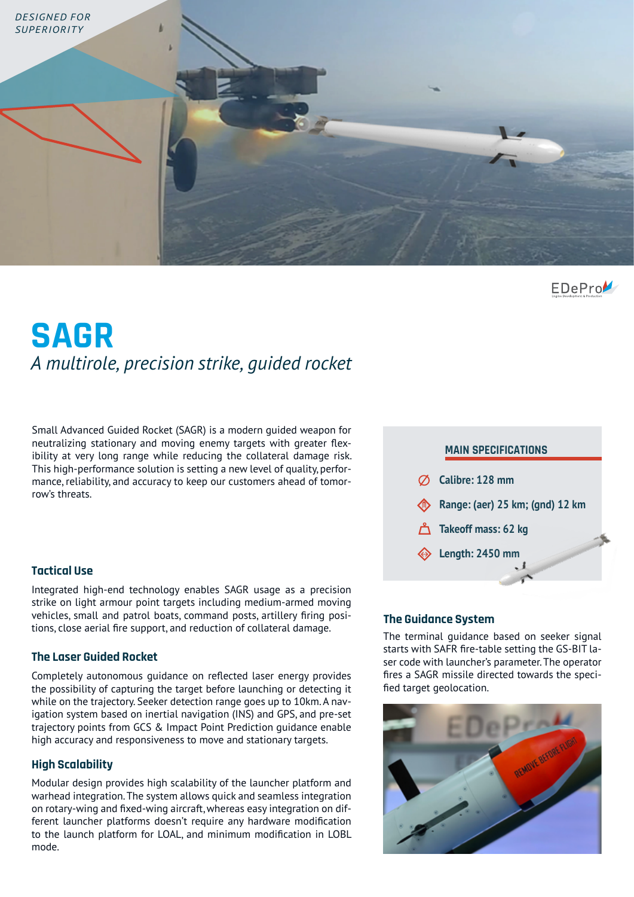

EDePro

# **SAGR** *A multirole, precision strike, guided rocket*

Small Advanced Guided Rocket (SAGR) is a modern guided weapon for neutralizing stationary and moving enemy targets with greater flexibility at very long range while reducing the collateral damage risk. This high-performance solution is setting a new level of quality, performance, reliability, and accuracy to keep our customers ahead of tomorrow's threats.

### **Tactical Use**

Integrated high-end technology enables SAGR usage as a precision strike on light armour point targets including medium-armed moving vehicles, small and patrol boats, command posts, artillery firing positions, close aerial fire support, and reduction of collateral damage.<br>The terminal guidance based on seeker signal

### **The Laser Guided Rocket**

Completely autonomous guidance on reflected laser energy provides the possibility of capturing the target before launching or detecting it while on the trajectory. Seeker detection range goes up to 10km. A navigation system based on inertial navigation (INS) and GPS, and pre-set trajectory points from GCS & Impact Point Prediction guidance enable high accuracy and responsiveness to move and stationary targets.

### **High Scalability**

Modular design provides high scalability of the launcher platform and warhead integration. The system allows quick and seamless integration on rotary-wing and fixed-wing aircraft, whereas easy integration on different launcher platforms doesn't require any hardware modification to the launch platform for LOAL, and minimum modification in LOBL mode.



### **The Guidance System**

starts with SAFR fire-table setting the GS-BIT laser code with launcher's parameter. The operator fires a SAGR missile directed towards the specified target geolocation.